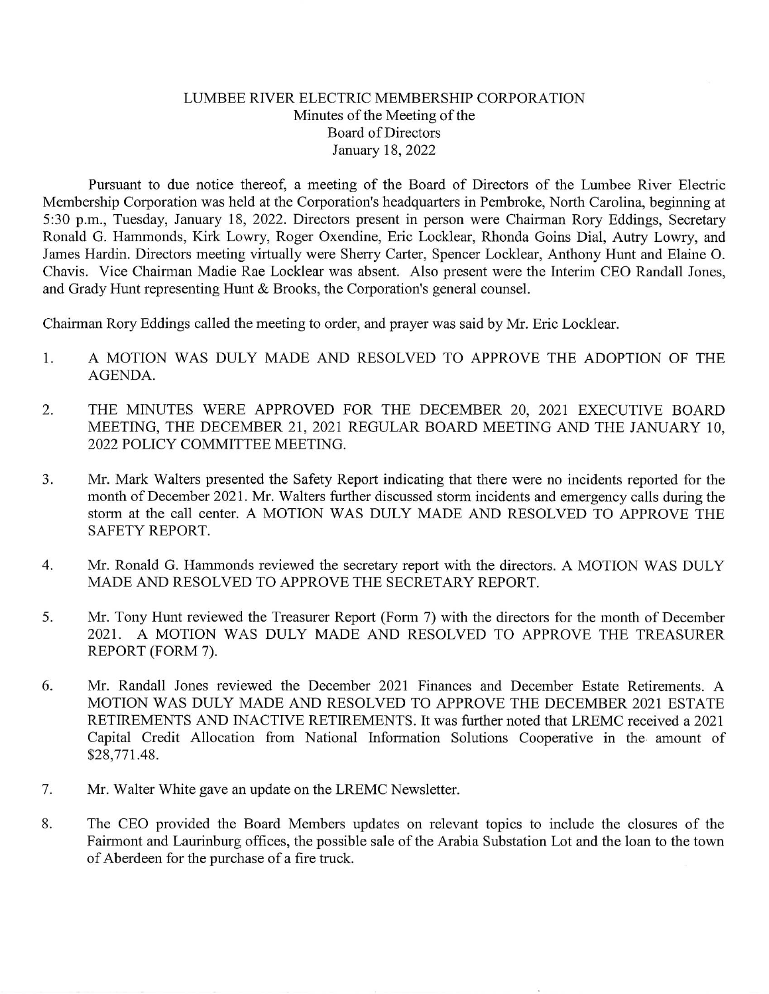## LUMBEE RIVER ELECTRIC MEMBERSHIP CORPORATION Minutes of the Meeting of the Board of Directors January 18, 2022

Pursuant to due notice thereof, a meeting of the Board of Directors of the Lumbee River Electric Membership Corporation was held at the Corporation's headquarters in Pembroke, North Carolina, beginning at 5:30 p.m., Tuesday, January 18, 2022. Directors present in person were Chairman Rory Eddings, Secretary Ronald G. Harnrnonds, Kirk Lowry, Roger Oxendine, Eric Locklear, Rhonda Goins Dial, Autry Lowry, and James Hardin. Directors meeting virtually were Sherry Carter, Spencer Locklear, Anthony Hunt and Elaine O. Chavis. Vice Chairman Madie Rae Locklear was absent. Also present were the Interim CEO Randall Jones, and Grady Hunt representing Hunt & Brooks, the Corporation's general counsel.

Chairman Rory Eddings called the meeting to order, and prayer was said by Mr. Eric Locklear.

- 1. A MOTION WAS DULY MADE AND RESOLVED TO APPROVE THE ADOPTION OF THE AGENDA.
- 2. THE MINUTES WERE APPROVED FOR THE DECEMBER 20, 2021 EXECUTIVE BOARD MEETING, THE DECEMBER 21, 2021 REGULAR BOARD MEETING AND THE JANUARY 10, 2022 POLICY COMMITTEE MEETING.
- 3. Mr. Mark Walters presented the Safety Report indicating that there were no incidents reported for the month of December 2021. Mr. Walters further discussed storm incidents and emergency calls during the storm at the call center. A MOTION WAS DULY MADE AND RESOLVED TO APPROVE THE SAFETY REPORT.
- 4. Mr. Ronald G. Hammonds reviewed the secretary report with the directors. A MOTION WAS DULY MADE AND RESOLVED TO APPROVE THE SECRETARY REPORT.
- 5. Mr. Tony Hunt reviewed the Treasurer Report (Form 7) with the directors for the month of December 2021. A MOTION WAS DULY MADE AND RESOLVED TO APPROVE THE TREASURER REPORT (FORM 7).
- 6. Mr. Randall Jones reviewed the December 2021 Finances and December Estate Retirements. A MOTION WAS DULY MADE AND RESOLVED TO APPROVE THE DECEMBER 2021 ESTATE RETIREMENTS AND INACTIVE RETIREMENTS. It was further noted that LREMC received a 2021 Capital Credit Allocation from National Information Solutions Cooperative in the amount of \$28,771.48.
- 7. Mr. Walter White gave an update on the LREMC Newsletter.
- 8. The CEO provided the Board Members updates on reIevant topics to include the closures of the Fairmont and Laurinburg offices, the possible sale of the Arabia Substation Lot and the loan to the town of Aberdeen for the purchase of a fire truck.